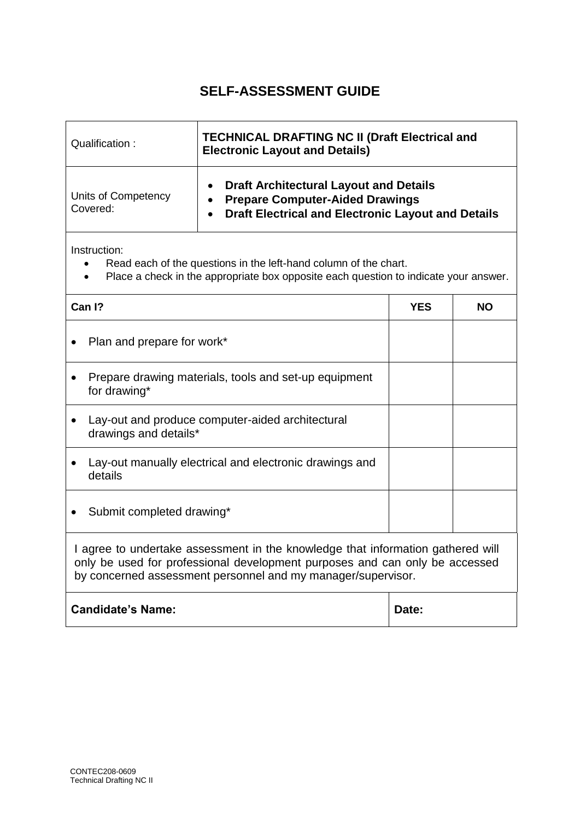| Qualification:                  | <b>TECHNICAL DRAFTING NC II (Draft Electrical and</b><br><b>Electronic Layout and Details)</b>                                                       |  |
|---------------------------------|------------------------------------------------------------------------------------------------------------------------------------------------------|--|
| Units of Competency<br>Covered: | <b>Draft Architectural Layout and Details</b><br><b>Prepare Computer-Aided Drawings</b><br><b>Draft Electrical and Electronic Layout and Details</b> |  |

- Read each of the questions in the left-hand column of the chart.
- Place a check in the appropriate box opposite each question to indicate your answer.

| Can I?                                                                                                                                                                                                                         | YES | <b>NO</b> |
|--------------------------------------------------------------------------------------------------------------------------------------------------------------------------------------------------------------------------------|-----|-----------|
| Plan and prepare for work*                                                                                                                                                                                                     |     |           |
| Prepare drawing materials, tools and set-up equipment<br>for drawing*                                                                                                                                                          |     |           |
| Lay-out and produce computer-aided architectural<br>drawings and details*                                                                                                                                                      |     |           |
| Lay-out manually electrical and electronic drawings and<br>details                                                                                                                                                             |     |           |
| Submit completed drawing*                                                                                                                                                                                                      |     |           |
| I agree to undertake assessment in the knowledge that information gathered will<br>only be used for professional development purposes and can only be accessed<br>by concerned assessment personnel and my manager/supervisor. |     |           |
| <b>Candidate's Name:</b><br>Date:                                                                                                                                                                                              |     |           |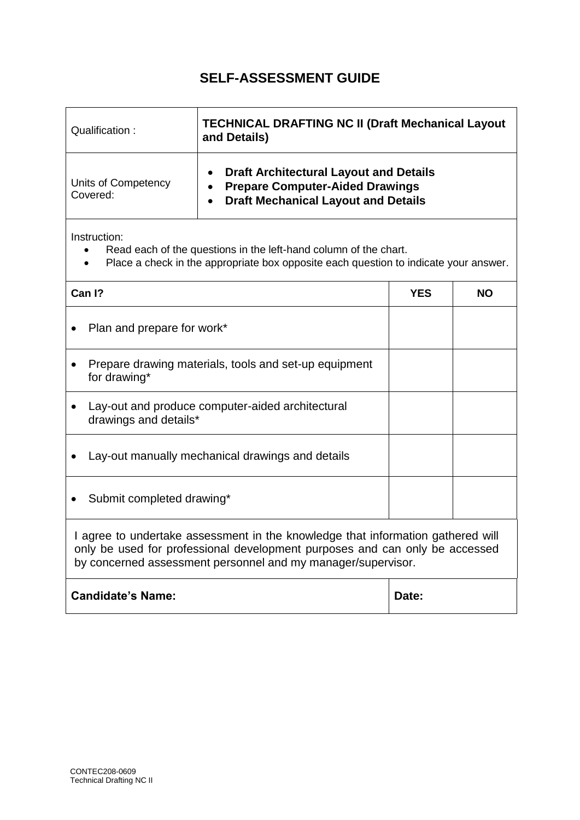| Qualification:                  | <b>TECHNICAL DRAFTING NC II (Draft Mechanical Layout</b><br>and Details)                                                              |  |
|---------------------------------|---------------------------------------------------------------------------------------------------------------------------------------|--|
| Units of Competency<br>Covered: | <b>Draft Architectural Layout and Details</b><br><b>Prepare Computer-Aided Drawings</b><br><b>Draft Mechanical Layout and Details</b> |  |

- Read each of the questions in the left-hand column of the chart.
- Place a check in the appropriate box opposite each question to indicate your answer.

|                                                                                                                                                                                                                                | Can I?                                                                    | YES | <b>NO</b> |
|--------------------------------------------------------------------------------------------------------------------------------------------------------------------------------------------------------------------------------|---------------------------------------------------------------------------|-----|-----------|
|                                                                                                                                                                                                                                | Plan and prepare for work*                                                |     |           |
|                                                                                                                                                                                                                                | Prepare drawing materials, tools and set-up equipment<br>for drawing*     |     |           |
|                                                                                                                                                                                                                                | Lay-out and produce computer-aided architectural<br>drawings and details* |     |           |
|                                                                                                                                                                                                                                | Lay-out manually mechanical drawings and details                          |     |           |
|                                                                                                                                                                                                                                | Submit completed drawing*                                                 |     |           |
| I agree to undertake assessment in the knowledge that information gathered will<br>only be used for professional development purposes and can only be accessed<br>by concerned assessment personnel and my manager/supervisor. |                                                                           |     |           |
|                                                                                                                                                                                                                                | <b>Candidate's Name:</b><br>Date:                                         |     |           |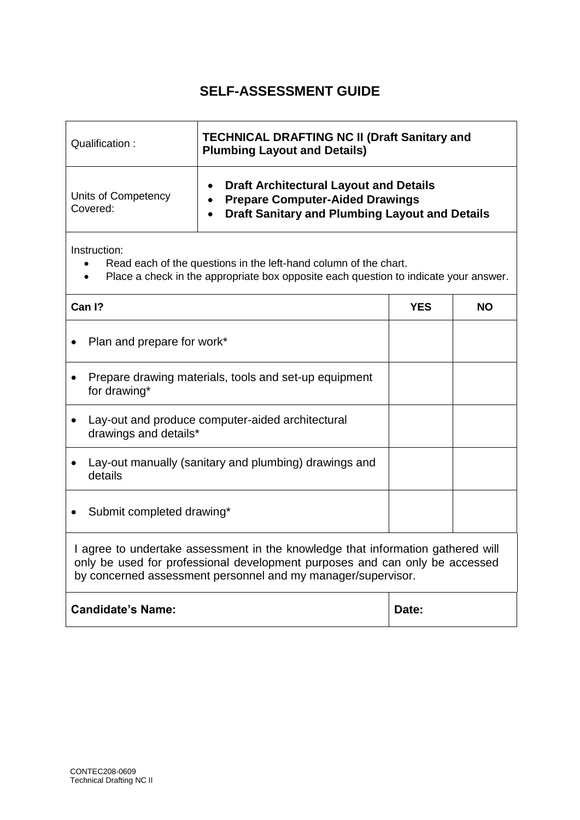| Qualification:                  | <b>TECHNICAL DRAFTING NC II (Draft Sanitary and</b><br><b>Plumbing Layout and Details)</b>                                                       |  |
|---------------------------------|--------------------------------------------------------------------------------------------------------------------------------------------------|--|
| Units of Competency<br>Covered: | <b>Draft Architectural Layout and Details</b><br><b>Prepare Computer-Aided Drawings</b><br><b>Draft Sanitary and Plumbing Layout and Details</b> |  |

- Read each of the questions in the left-hand column of the chart.
- Place a check in the appropriate box opposite each question to indicate your answer.

| Can I?                                                                                                                                                                                                                         | YES | <b>NO</b> |
|--------------------------------------------------------------------------------------------------------------------------------------------------------------------------------------------------------------------------------|-----|-----------|
| Plan and prepare for work*                                                                                                                                                                                                     |     |           |
| Prepare drawing materials, tools and set-up equipment<br>for drawing*                                                                                                                                                          |     |           |
| Lay-out and produce computer-aided architectural<br>drawings and details*                                                                                                                                                      |     |           |
| Lay-out manually (sanitary and plumbing) drawings and<br>details                                                                                                                                                               |     |           |
| Submit completed drawing*                                                                                                                                                                                                      |     |           |
| I agree to undertake assessment in the knowledge that information gathered will<br>only be used for professional development purposes and can only be accessed<br>by concerned assessment personnel and my manager/supervisor. |     |           |
| <b>Candidate's Name:</b><br>Date:                                                                                                                                                                                              |     |           |